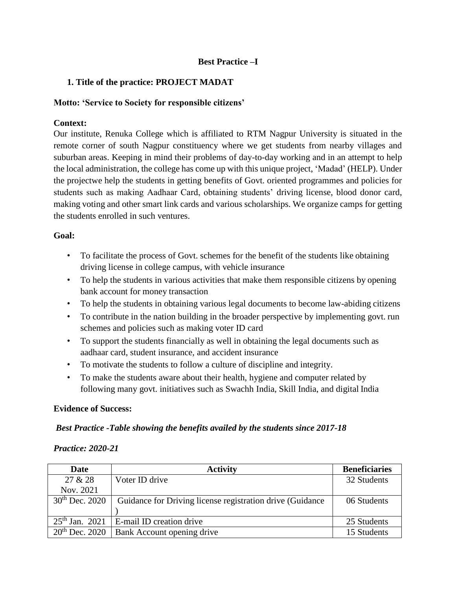## **Best Practice –I**

## **1. Title of the practice: PROJECT MADAT**

### **Motto: 'Service to Society for responsible citizens'**

## **Context:**

Our institute, Renuka College which is affiliated to RTM Nagpur University is situated in the remote corner of south Nagpur constituency where we get students from nearby villages and suburban areas. Keeping in mind their problems of day-to-day working and in an attempt to help the local administration, the college has come up with this unique project, 'Madad' (HELP). Under the projectwe help the students in getting benefits of Govt. oriented programmes and policies for students such as making Aadhaar Card, obtaining students' driving license, blood donor card, making voting and other smart link cards and various scholarships. We organize camps for getting the students enrolled in such ventures.

#### **Goal:**

- To facilitate the process of Govt. schemes for the benefit of the students like obtaining driving license in college campus, with vehicle insurance
- To help the students in various activities that make them responsible citizens by opening bank account for money transaction
- To help the students in obtaining various legal documents to become law-abiding citizens
- To contribute in the nation building in the broader perspective by implementing govt. run schemes and policies such as making voter ID card
- To support the students financially as well in obtaining the legal documents such as aadhaar card, student insurance, and accident insurance
- To motivate the students to follow a culture of discipline and integrity.
- To make the students aware about their health, hygiene and computer related by following many govt. initiatives such as Swachh India, Skill India, and digital India

#### **Evidence of Success:**

## *Best Practice -Table showing the benefits availed by the students since 2017-18*

#### *Practice: 2020-21*

| <b>Date</b>         | <b>Activity</b>                                           | <b>Beneficiaries</b> |
|---------------------|-----------------------------------------------------------|----------------------|
| 27 & 28             | Voter ID drive                                            | 32 Students          |
| Nov. 2021           |                                                           |                      |
| $30^{th}$ Dec. 2020 | Guidance for Driving license registration drive (Guidance | 06 Students          |
|                     |                                                           |                      |
| $25th$ Jan. 2021    | E-mail ID creation drive                                  | 25 Students          |
| $20th$ Dec. 2020    | Bank Account opening drive                                | 15 Students          |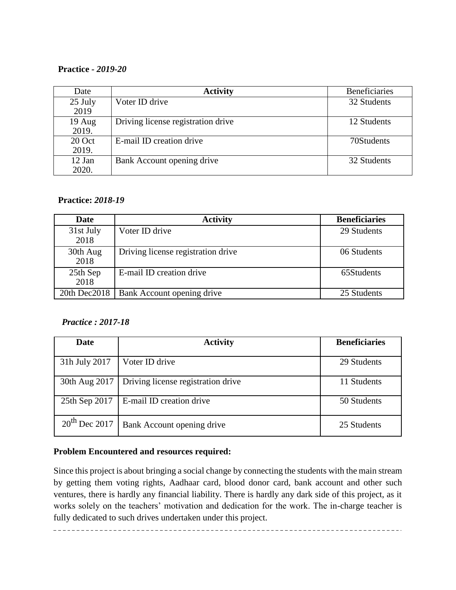## **Practice** *- 2019-20*

| Date              | <b>Activity</b>                    | <b>Beneficiaries</b> |
|-------------------|------------------------------------|----------------------|
| 25 July           | Voter ID drive                     | 32 Students          |
| 2019              |                                    |                      |
| $19$ Aug<br>2019. | Driving license registration drive | 12 Students          |
| 20 Oct<br>2019.   | E-mail ID creation drive           | 70Students           |
| 12 Jan<br>2020.   | Bank Account opening drive         | 32 Students          |

## **Practice:** *2018-19*

| Date              | <b>Activity</b>                    | <b>Beneficiaries</b> |
|-------------------|------------------------------------|----------------------|
| 31st July<br>2018 | Voter ID drive                     | 29 Students          |
| 30th Aug<br>2018  | Driving license registration drive | 06 Students          |
| 25th Sep<br>2018  | E-mail ID creation drive           | 65Students           |
| 20th Dec2018      | Bank Account opening drive         | 25 Students          |

## *Practice : 2017-18*

| Date               | <b>Activity</b>                    | <b>Beneficiaries</b> |
|--------------------|------------------------------------|----------------------|
| 31h July 2017      | Voter ID drive                     | 29 Students          |
| 30th Aug 2017      | Driving license registration drive | 11 Students          |
| 25th Sep 2017      | E-mail ID creation drive           | 50 Students          |
| $20^{th}$ Dec 2017 | Bank Account opening drive         | 25 Students          |

## **Problem Encountered and resources required:**

Since this project is about bringing a social change by connecting the students with the main stream by getting them voting rights, Aadhaar card, blood donor card, bank account and other such ventures, there is hardly any financial liability. There is hardly any dark side of this project, as it works solely on the teachers' motivation and dedication for the work. The in-charge teacher is fully dedicated to such drives undertaken under this project.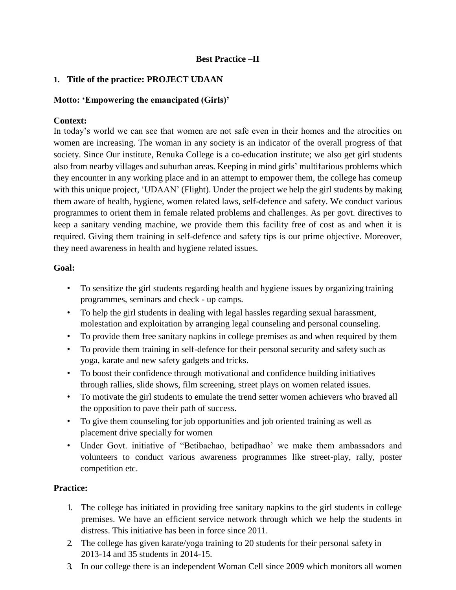## **Best Practice –II**

## **1. Title of the practice: PROJECT UDAAN**

### **Motto: 'Empowering the emancipated (Girls)'**

## **Context:**

In today's world we can see that women are not safe even in their homes and the atrocities on women are increasing. The woman in any society is an indicator of the overall progress of that society. Since Our institute, Renuka College is a co-education institute; we also get girl students also from nearby villages and suburban areas. Keeping in mind girls' multifarious problems which they encounter in any working place and in an attempt to empower them, the college has comeup with this unique project, 'UDAAN' (Flight). Under the project we help the girl students by making them aware of health, hygiene, women related laws, self-defence and safety. We conduct various programmes to orient them in female related problems and challenges. As per govt. directives to keep a sanitary vending machine, we provide them this facility free of cost as and when it is required. Giving them training in self-defence and safety tips is our prime objective. Moreover, they need awareness in health and hygiene related issues.

#### **Goal:**

- To sensitize the girl students regarding health and hygiene issues by organizing training programmes, seminars and check - up camps.
- To help the girl students in dealing with legal hassles regarding sexual harassment, molestation and exploitation by arranging legal counseling and personal counseling.
- To provide them free sanitary napkins in college premises as and when required by them
- To provide them training in self-defence for their personal security and safety such as yoga, karate and new safety gadgets and tricks.
- To boost their confidence through motivational and confidence building initiatives through rallies, slide shows, film screening, street plays on women related issues.
- To motivate the girl students to emulate the trend setter women achievers who braved all the opposition to pave their path of success.
- To give them counseling for job opportunities and job oriented training as well as placement drive specially for women
- Under Govt. initiative of "Betibachao, betipadhao' we make them ambassadors and volunteers to conduct various awareness programmes like street-play, rally, poster competition etc.

## **Practice:**

- 1. The college has initiated in providing free sanitary napkins to the girl students in college premises. We have an efficient service network through which we help the students in distress. This initiative has been in force since 2011.
- 2. The college has given karate/yoga training to 20 students for their personal safety in 2013-14 and 35 students in 2014-15.
- 3. In our college there is an independent Woman Cell since 2009 which monitors all women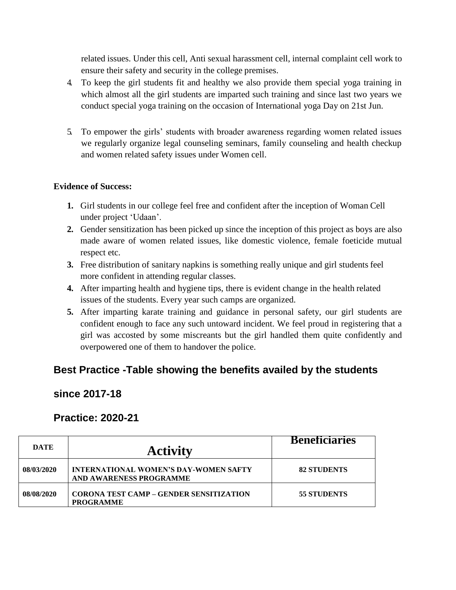related issues. Under this cell, Anti sexual harassment cell, internal complaint cell work to ensure their safety and security in the college premises.

- 4. To keep the girl students fit and healthy we also provide them special yoga training in which almost all the girl students are imparted such training and since last two years we conduct special yoga training on the occasion of International yoga Day on 21st Jun.
- 5. To empower the girls' students with broader awareness regarding women related issues we regularly organize legal counseling seminars, family counseling and health checkup and women related safety issues under Women cell.

## **Evidence of Success:**

- **1.** Girl students in our college feel free and confident after the inception of Woman Cell under project 'Udaan'.
- **2.** Gender sensitization has been picked up since the inception of this project as boys are also made aware of women related issues, like domestic violence, female foeticide mutual respect etc.
- **3.** Free distribution of sanitary napkins is something really unique and girl students feel more confident in attending regular classes.
- **4.** After imparting health and hygiene tips, there is evident change in the health related issues of the students. Every year such camps are organized.
- **5.** After imparting karate training and guidance in personal safety, our girl students are confident enough to face any such untoward incident. We feel proud in registering that a girl was accosted by some miscreants but the girl handled them quite confidently and overpowered one of them to handover the police.

# **Best Practice -Table showing the benefits availed by the students**

# **since 2017-18**

# **Practice: 2020-21**

| DATE       | <b>Activity</b>                                                    | <b>Beneficiaries</b> |
|------------|--------------------------------------------------------------------|----------------------|
| 08/03/2020 | INTERNATIONAL WOMEN'S DAY-WOMEN SAFTY<br>AND AWARENESS PROGRAMME   | <b>82 STUDENTS</b>   |
| 08/08/2020 | <b>CORONA TEST CAMP – GENDER SENSITIZATION</b><br><b>PROGRAMME</b> | <b>55 STUDENTS</b>   |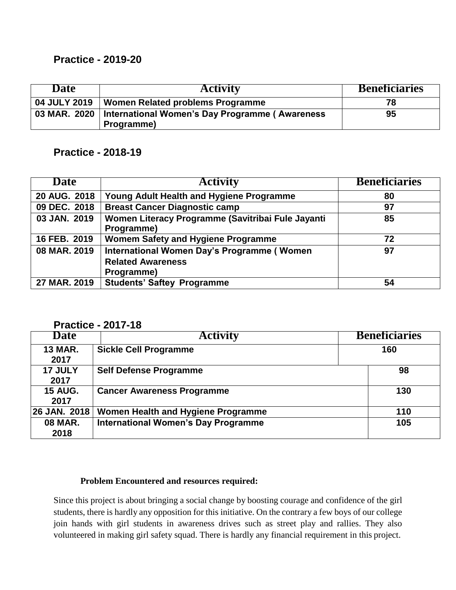## **Practice - 2019-20**

| Date | <b>Activity</b>                                                             | <b>Beneficiaries</b> |
|------|-----------------------------------------------------------------------------|----------------------|
|      | 04 JULY 2019   Women Related problems Programme                             | 78                   |
|      | 03 MAR. 2020   International Women's Day Programme (Awareness<br>Programme) | 95                   |

# **Practice - 2018-19**

| Date         | <b>Activity</b>                                                                      | <b>Beneficiaries</b> |
|--------------|--------------------------------------------------------------------------------------|----------------------|
| 20 AUG. 2018 | Young Adult Health and Hygiene Programme                                             | 80                   |
| 09 DEC. 2018 | <b>Breast Cancer Diagnostic camp</b>                                                 | 97                   |
| 03 JAN. 2019 | Women Literacy Programme (Savitribai Fule Jayanti<br>Programme)                      | 85                   |
| 16 FEB. 2019 | Womem Safety and Hygiene Programme                                                   | 72                   |
| 08 MAR. 2019 | International Women Day's Programme (Women<br><b>Related Awareness</b><br>Programme) | 97                   |
| 27 MAR. 2019 | <b>Students' Saftey Programme</b>                                                    | 54                   |

## **Practice - 2017-18**

| .<br><b>Date</b>       | 60 I I V<br><b>Activity</b>                | <b>Beneficiaries</b> |
|------------------------|--------------------------------------------|----------------------|
| <b>13 MAR.</b><br>2017 | <b>Sickle Cell Programme</b>               | 160                  |
| 17 JULY<br>2017        | <b>Self Defense Programme</b>              | 98                   |
| <b>15 AUG.</b><br>2017 | <b>Cancer Awareness Programme</b>          | 130                  |
| 26 JAN. 2018           | Women Health and Hygiene Programme         | 110                  |
| <b>08 MAR.</b><br>2018 | <b>International Women's Day Programme</b> | 105                  |

## **Problem Encountered and resources required:**

Since this project is about bringing a social change by boosting courage and confidence of the girl students, there is hardly any opposition for this initiative. On the contrary a few boys of our college join hands with girl students in awareness drives such as street play and rallies. They also volunteered in making girl safety squad. There is hardly any financial requirement in this project.